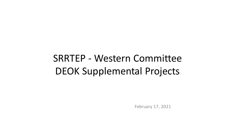# SRRTEP - Western Committee DEOK Supplemental Projects

February 17, 2021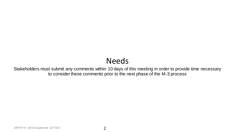# Needs

Stakeholders must submit any comments within 10 days of this meeting in order to provide time necessary to consider these comments prior to the next phase of the M-3 process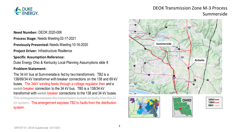

## DEOK Transmission Zone M-3 Process Summerside

**Need Number:** DEOK 2020-006

**Process Stage:** Needs Meeting 02-17-2021

**Previously Presented:** Needs Meeting 10-16-2020

**Project Driver:** Infrastructure Resilience

#### **Specific Assumption Reference:**

Duke Energy Ohio & Kentucky Local Planning Assumptions slide 8

#### **Problem Statement:**

The 34 kV bus at Summerside is fed by two transformers. TB2 is a 138/69/34 kV transformer with breaker connections on the 138 and 69 kV buses. The 34kV winding feeds through a voltage regulator then and a switch breaker connection to the 34 kV bus. TB5 is a 138/34 kV transformer with switch breaker connections to the 138 and 34 kV buses. This arrangement exposes the transmission system to faults from the 34 kV system. This arrangement exposes TB2 to faults from the distribution system.

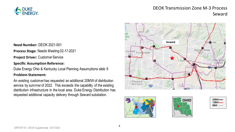

## DEOK Transmission Zone M-3 Process Seward





**Process Stage:** Needs Meeting 02-17-2021

**Project Driver:** Customer Service

#### **Specific Assumption Reference:**

Duke Energy Ohio & Kentucky Local Planning Assumptions slide 9

#### **Problem Statement:**

An existing customer has requested an additional 20MW of distribution service by summer of 2022. This exceeds the capability of the existing distribution infrastructure in the local area. Duke Energy Distribution has requested additional capacity delivery through Seward substation.





| 345kV—— |
|---------|
| 138kV—  |
| 69kV    |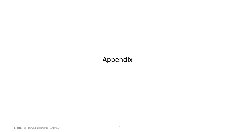# Appendix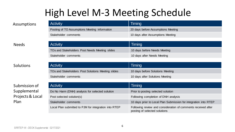# High Level M-3 Meeting Schedule

| <b>Activity</b>                               | Timing                             |
|-----------------------------------------------|------------------------------------|
| Posting of TO Assumptions Meeting information | 20 days before Assumptions Meeting |
| Stakeholder comments                          | 10 days after Assumptions Meeting  |

#### Needs

### Solutions

### Submission of Supplemental Projects & Local Plan

| <b>Activity</b>                                | Timing                       |
|------------------------------------------------|------------------------------|
| TOs and Stakeholders Post Needs Meeting slides | 10 days before Needs Meeting |
| Stakeholder comments                           | 10 days after Needs Meeting  |
|                                                |                              |

| <b>Activity</b>                                    | Timing                           |
|----------------------------------------------------|----------------------------------|
| TOs and Stakeholders Post Solutions Meeting slides | 10 days before Solutions Meeting |
| Stakeholder comments                               | 10 days after Solutions Meeting  |

| <b>Activity</b>                                       | Timing                                                                                         |
|-------------------------------------------------------|------------------------------------------------------------------------------------------------|
| Do No Harm (DNH) analysis for selected solution       | Prior to posting selected solution                                                             |
| Post selected solution(s)                             | Following completion of DNH analysis                                                           |
| Stakeholder comments                                  | 10 days prior to Local Plan Submission for integration into RTEP                               |
| Local Plan submitted to PJM for integration into RTEP | Following review and consideration of comments received after<br>posting of selected solutions |